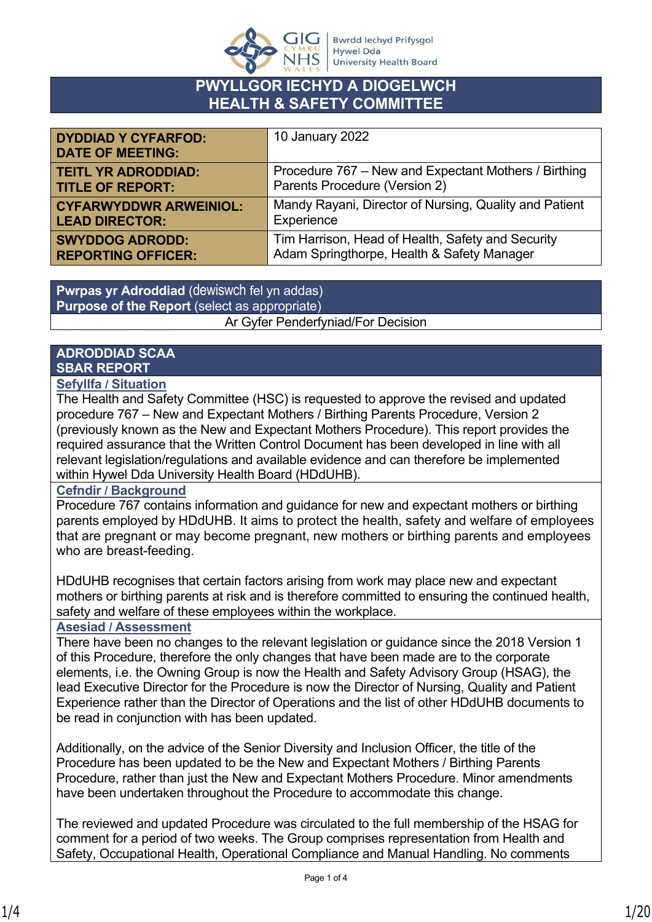

#### **PWYLLGOR IECHYD A DIOGELWCH HEALTH & SAFETY COMMITTEE**

| <b>DYDDIAD Y CYFARFOD:</b><br><b>DATE OF MEETING:</b> | 10 January 2022                                        |
|-------------------------------------------------------|--------------------------------------------------------|
| <b>TEITL YR ADRODDIAD:</b>                            | Procedure 767 – New and Expectant Mothers / Birthing   |
| <b>TITLE OF REPORT:</b>                               | Parents Procedure (Version 2)                          |
| <b>CYFARWYDDWR ARWEINIOL:</b>                         | Mandy Rayani, Director of Nursing, Quality and Patient |
| <b>LEAD DIRECTOR:</b>                                 | Experience                                             |
| <b>SWYDDOG ADRODD:</b>                                | Tim Harrison, Head of Health, Safety and Security      |
| <b>REPORTING OFFICER:</b>                             | Adam Springthorpe, Health & Safety Manager             |

**Pwrpas yr Adroddiad** (dewiswch fel yn addas) **Purpose of the Report** (select as appropriate) Ar Gyfer Penderfyniad/For Decision

#### **ADRODDIAD SCAA SBAR REPORT**

#### **Sefyllfa / Situation**

The Health and Safety Committee (HSC) is requested to approve the revised and updated procedure 767 – New and Expectant Mothers / Birthing Parents Procedure, Version 2 (previously known as the New and Expectant Mothers Procedure). This report provides the required assurance that the Written Control Document has been developed in line with all relevant legislation/regulations and available evidence and can therefore be implemented within Hywel Dda University Health Board (HDdUHB).

#### **Cefndir / Background**

Procedure 767 contains information and guidance for new and expectant mothers or birthing parents employed by HDdUHB. It aims to protect the health, safety and welfare of employees that are pregnant or may become pregnant, new mothers or birthing parents and employees who are breast-feeding.

HDdUHB recognises that certain factors arising from work may place new and expectant mothers or birthing parents at risk and is therefore committed to ensuring the continued health, safety and welfare of these employees within the workplace.

#### **Asesiad / Assessment**

There have been no changes to the relevant legislation or guidance since the 2018 Version 1 of this Procedure, therefore the only changes that have been made are to the corporate elements, i.e. the Owning Group is now the Health and Safety Advisory Group (HSAG), the lead Executive Director for the Procedure is now the Director of Nursing, Quality and Patient Experience rather than the Director of Operations and the list of other HDdUHB documents to be read in conjunction with has been updated.

Additionally, on the advice of the Senior Diversity and Inclusion Officer, the title of the Procedure has been updated to be the New and Expectant Mothers / Birthing Parents Procedure, rather than just the New and Expectant Mothers Procedure. Minor amendments have been undertaken throughout the Procedure to accommodate this change.

The reviewed and updated Procedure was circulated to the full membership of the HSAG for comment for a period of two weeks. The Group comprises representation from Health and Safety, Occupational Health, Operational Compliance and Manual Handling. No comments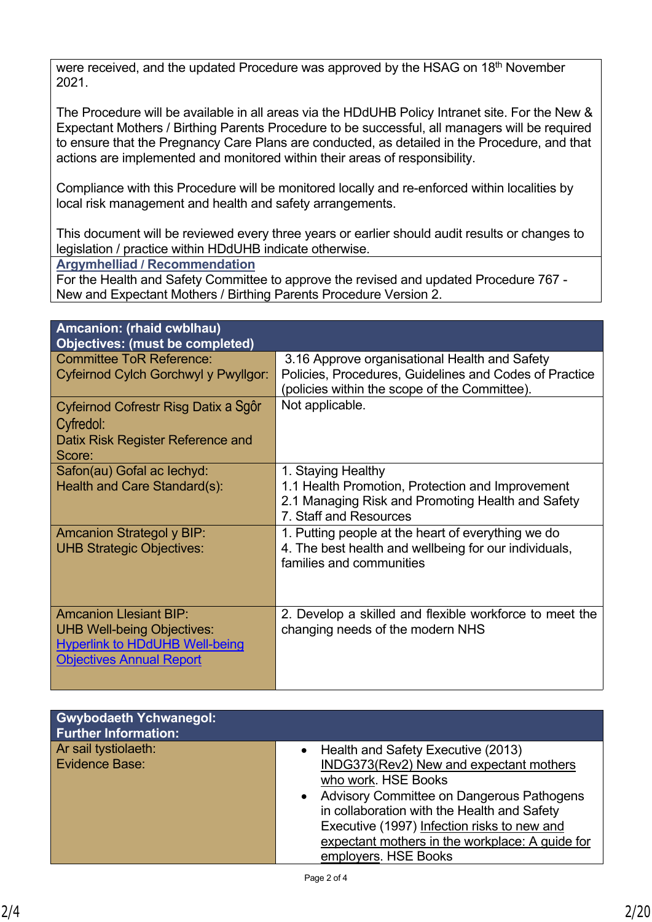were received, and the updated Procedure was approved by the HSAG on 18<sup>th</sup> November 2021.

The Procedure will be available in all areas via the HDdUHB Policy Intranet site. For the New & Expectant Mothers / Birthing Parents Procedure to be successful, all managers will be required to ensure that the Pregnancy Care Plans are conducted, as detailed in the Procedure, and that actions are implemented and monitored within their areas of responsibility.

Compliance with this Procedure will be monitored locally and re-enforced within localities by local risk management and health and safety arrangements.

This document will be reviewed every three years or earlier should audit results or changes to legislation / practice within HDdUHB indicate otherwise.

**Argymhelliad / Recommendation**

For the Health and Safety Committee to approve the revised and updated Procedure 767 - New and Expectant Mothers / Birthing Parents Procedure Version 2.

| Amcanion: (rhaid cwblhau)<br><b>Objectives: (must be completed)</b>                                                                            |                                                                                                                                                          |
|------------------------------------------------------------------------------------------------------------------------------------------------|----------------------------------------------------------------------------------------------------------------------------------------------------------|
| Committee ToR Reference:<br>Cyfeirnod Cylch Gorchwyl y Pwyllgor:                                                                               | 3.16 Approve organisational Health and Safety<br>Policies, Procedures, Guidelines and Codes of Practice<br>(policies within the scope of the Committee). |
| Cyfeirnod Cofrestr Risg Datix a Sgôr<br>Cyfredol:<br>Datix Risk Register Reference and<br>Score:                                               | Not applicable.                                                                                                                                          |
| Safon(au) Gofal ac lechyd:<br>Health and Care Standard(s):                                                                                     | 1. Staying Healthy<br>1.1 Health Promotion, Protection and Improvement<br>2.1 Managing Risk and Promoting Health and Safety<br>7. Staff and Resources    |
| <b>Amcanion Strategol y BIP:</b><br><b>UHB Strategic Objectives:</b>                                                                           | 1. Putting people at the heart of everything we do<br>4. The best health and wellbeing for our individuals,<br>families and communities                  |
| <b>Amcanion Llesiant BIP:</b><br><b>UHB Well-being Objectives:</b><br><b>Hyperlink to HDdUHB Well-being</b><br><b>Objectives Annual Report</b> | 2. Develop a skilled and flexible workforce to meet the<br>changing needs of the modern NHS                                                              |

| <b>Gwybodaeth Ychwanegol:</b><br><b>Further Information:</b> |                                                                                                                                                                                                                                                                                                                            |
|--------------------------------------------------------------|----------------------------------------------------------------------------------------------------------------------------------------------------------------------------------------------------------------------------------------------------------------------------------------------------------------------------|
| Ar sail tystiolaeth:<br>Evidence Base:                       | Health and Safety Executive (2013)<br>INDG373(Rev2) New and expectant mothers<br>who work. HSE Books<br>Advisory Committee on Dangerous Pathogens<br>in collaboration with the Health and Safety<br>Executive (1997) Infection risks to new and<br>expectant mothers in the workplace: A guide for<br>employers. HSE Books |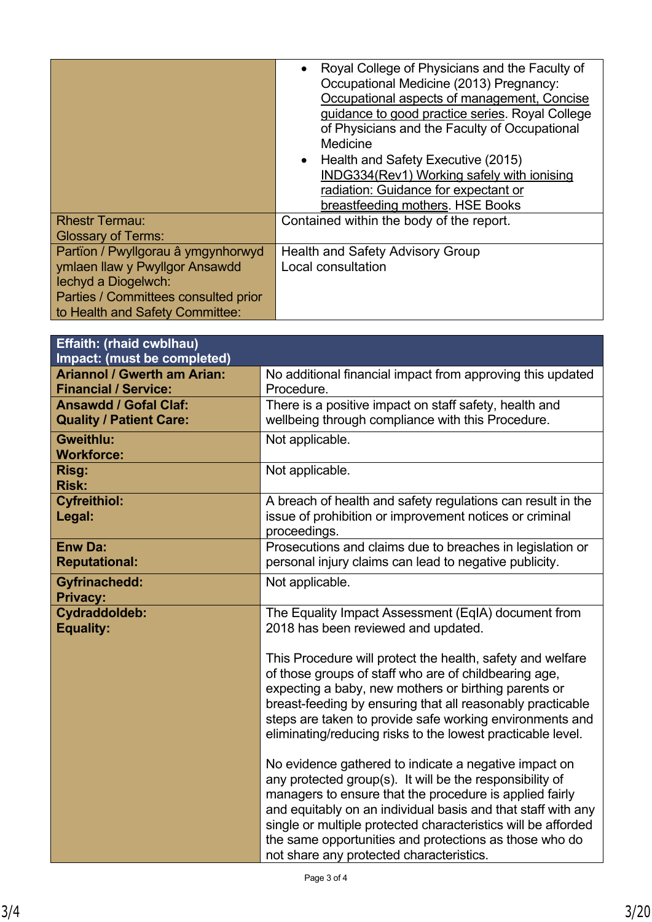| <b>Rhestr Termau:</b>                                                                                                                                                  | Royal College of Physicians and the Faculty of<br>Occupational Medicine (2013) Pregnancy:<br>Occupational aspects of management, Concise<br>guidance to good practice series. Royal College<br>of Physicians and the Faculty of Occupational<br>Medicine<br>Health and Safety Executive (2015)<br>INDG334(Rev1) Working safely with ionising<br>radiation: Guidance for expectant or<br>breastfeeding mothers. HSE Books<br>Contained within the body of the report. |
|------------------------------------------------------------------------------------------------------------------------------------------------------------------------|----------------------------------------------------------------------------------------------------------------------------------------------------------------------------------------------------------------------------------------------------------------------------------------------------------------------------------------------------------------------------------------------------------------------------------------------------------------------|
| <b>Glossary of Terms:</b>                                                                                                                                              |                                                                                                                                                                                                                                                                                                                                                                                                                                                                      |
| Partïon / Pwyllgorau â ymgynhorwyd<br>ymlaen llaw y Pwyllgor Ansawdd<br>lechyd a Diogelwch:<br>Parties / Committees consulted prior<br>to Health and Safety Committee: | Health and Safety Advisory Group<br>Local consultation                                                                                                                                                                                                                                                                                                                                                                                                               |

| <b>Effaith: (rhaid cwblhau)</b>    |                                                               |  |
|------------------------------------|---------------------------------------------------------------|--|
| Impact: (must be completed)        |                                                               |  |
| <b>Ariannol / Gwerth am Arian:</b> | No additional financial impact from approving this updated    |  |
| <b>Financial / Service:</b>        | Procedure.                                                    |  |
| <b>Ansawdd / Gofal Claf:</b>       | There is a positive impact on staff safety, health and        |  |
| <b>Quality / Patient Care:</b>     | wellbeing through compliance with this Procedure.             |  |
| Gweithlu:                          | Not applicable.                                               |  |
| <b>Workforce:</b>                  |                                                               |  |
| Risg:                              | Not applicable.                                               |  |
| <b>Risk:</b>                       |                                                               |  |
| <b>Cyfreithiol:</b>                | A breach of health and safety regulations can result in the   |  |
| Legal:                             | issue of prohibition or improvement notices or criminal       |  |
|                                    | proceedings.                                                  |  |
| <b>Enw Da:</b>                     | Prosecutions and claims due to breaches in legislation or     |  |
| <b>Reputational:</b>               | personal injury claims can lead to negative publicity.        |  |
| <b>Gyfrinachedd:</b>               | Not applicable.                                               |  |
| <b>Privacy:</b>                    |                                                               |  |
| <b>Cydraddoldeb:</b>               | The Equality Impact Assessment (EqIA) document from           |  |
| <b>Equality:</b>                   | 2018 has been reviewed and updated.                           |  |
|                                    |                                                               |  |
|                                    | This Procedure will protect the health, safety and welfare    |  |
|                                    | of those groups of staff who are of childbearing age,         |  |
|                                    | expecting a baby, new mothers or birthing parents or          |  |
|                                    | breast-feeding by ensuring that all reasonably practicable    |  |
|                                    | steps are taken to provide safe working environments and      |  |
|                                    | eliminating/reducing risks to the lowest practicable level.   |  |
|                                    |                                                               |  |
|                                    | No evidence gathered to indicate a negative impact on         |  |
|                                    | any protected group(s). It will be the responsibility of      |  |
|                                    | managers to ensure that the procedure is applied fairly       |  |
|                                    | and equitably on an individual basis and that staff with any  |  |
|                                    | single or multiple protected characteristics will be afforded |  |
|                                    | the same opportunities and protections as those who do        |  |
|                                    | not share any protected characteristics.                      |  |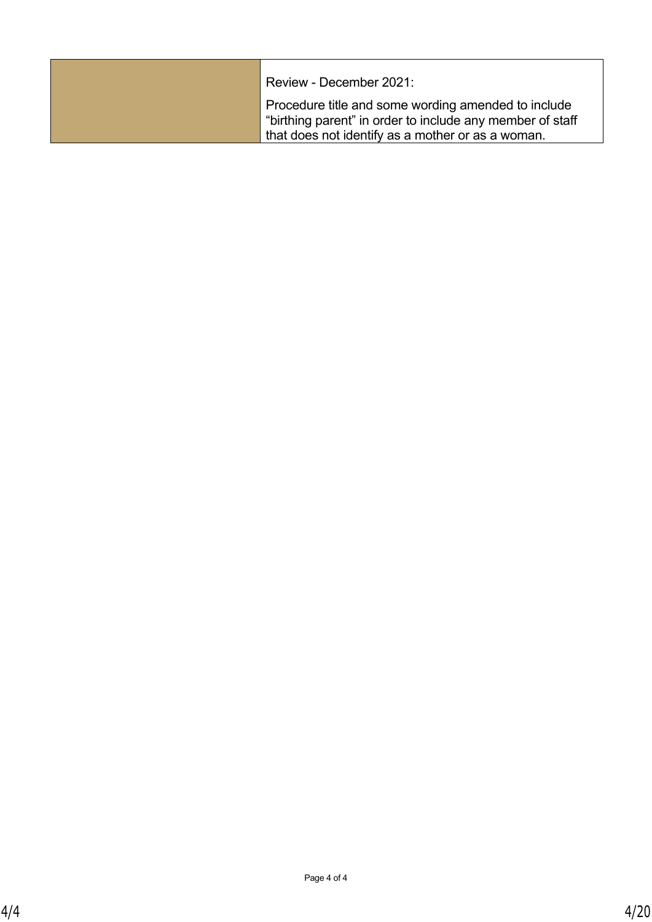| Review - December 2021:                                                                                                                                               |
|-----------------------------------------------------------------------------------------------------------------------------------------------------------------------|
| Procedure title and some wording amended to include<br>"birthing parent" in order to include any member of staff<br>that does not identify as a mother or as a woman. |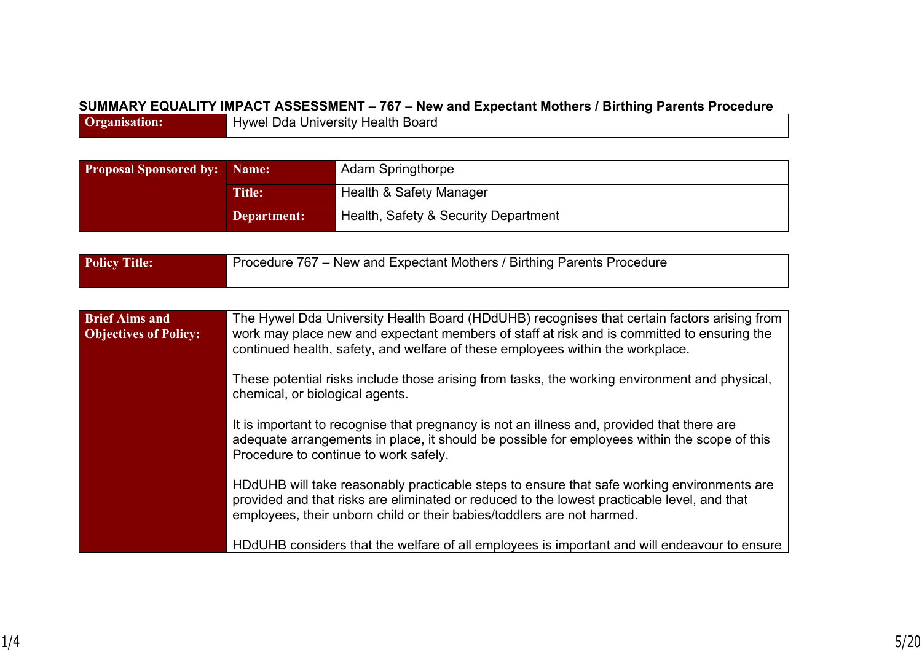#### **SUMMARY EQUALITY IMPACT ASSESSMENT – 767 – New and Expectant Mothers / Birthing Parents Procedure**

**Organisation:** Hywel Dda University Health Board

| <b>Proposal Sponsored by:</b> | Name:       | <b>Adam Springthorpe</b>             |
|-------------------------------|-------------|--------------------------------------|
| <b>Title:</b>                 |             | Health & Safety Manager              |
|                               | Department: | Health, Safety & Security Department |

| <b>Policy Title:</b>                                  | Procedure 767 – New and Expectant Mothers / Birthing Parents Procedure                                                                                                                                                                                                      |
|-------------------------------------------------------|-----------------------------------------------------------------------------------------------------------------------------------------------------------------------------------------------------------------------------------------------------------------------------|
|                                                       |                                                                                                                                                                                                                                                                             |
| <b>Brief Aims and</b><br><b>Objectives of Policy:</b> | The Hywel Dda University Health Board (HDdUHB) recognises that certain factors arising from<br>work may place new and expectant members of staff at risk and is committed to ensuring the<br>continued health, safety, and welfare of these employees within the workplace. |
|                                                       | These potential risks include those arising from tasks, the working environment and physical,<br>chemical, or biological agents.                                                                                                                                            |
|                                                       | It is important to recognise that pregnancy is not an illness and, provided that there are<br>adequate arrangements in place, it should be possible for employees within the scope of this<br>Procedure to continue to work safely.                                         |
|                                                       | HDdUHB will take reasonably practicable steps to ensure that safe working environments are<br>provided and that risks are eliminated or reduced to the lowest practicable level, and that<br>employees, their unborn child or their babies/toddlers are not harmed.         |
|                                                       | HDdUHB considers that the welfare of all employees is important and will endeavour to ensure                                                                                                                                                                                |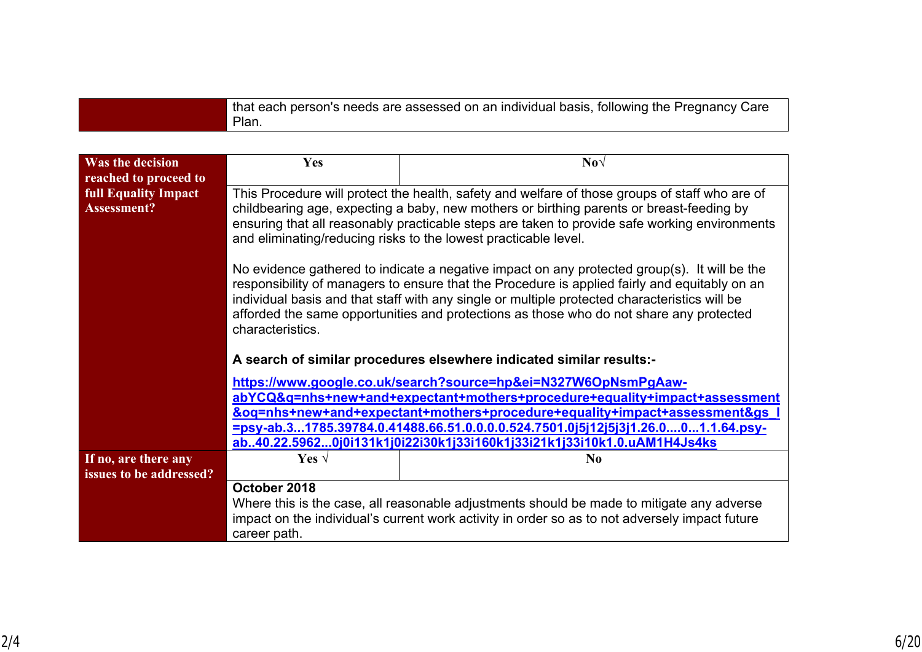| that each person's needs are assessed on an individual basis, following the Pregnancy Care |
|--------------------------------------------------------------------------------------------|
| Plan.                                                                                      |

| <b>Was the decision</b>                    | <b>Yes</b>                                                                                                                                                                                                                                                                                                                                                                                                                                                                                                                                                                                                                                                                                                                                                                      | $\textbf{No}\sqrt{}$ |  |
|--------------------------------------------|---------------------------------------------------------------------------------------------------------------------------------------------------------------------------------------------------------------------------------------------------------------------------------------------------------------------------------------------------------------------------------------------------------------------------------------------------------------------------------------------------------------------------------------------------------------------------------------------------------------------------------------------------------------------------------------------------------------------------------------------------------------------------------|----------------------|--|
| reached to proceed to                      |                                                                                                                                                                                                                                                                                                                                                                                                                                                                                                                                                                                                                                                                                                                                                                                 |                      |  |
| <b>full Equality Impact</b><br>Assessment? | This Procedure will protect the health, safety and welfare of those groups of staff who are of<br>childbearing age, expecting a baby, new mothers or birthing parents or breast-feeding by<br>ensuring that all reasonably practicable steps are taken to provide safe working environments<br>and eliminating/reducing risks to the lowest practicable level.<br>No evidence gathered to indicate a negative impact on any protected group(s). It will be the<br>responsibility of managers to ensure that the Procedure is applied fairly and equitably on an<br>individual basis and that staff with any single or multiple protected characteristics will be<br>afforded the same opportunities and protections as those who do not share any protected<br>characteristics. |                      |  |
|                                            | A search of similar procedures elsewhere indicated similar results:-                                                                                                                                                                                                                                                                                                                                                                                                                                                                                                                                                                                                                                                                                                            |                      |  |
|                                            | https://www.google.co.uk/search?source=hp&ei=N327W6OpNsmPgAaw-                                                                                                                                                                                                                                                                                                                                                                                                                                                                                                                                                                                                                                                                                                                  |                      |  |
|                                            | abYCQ&q=nhs+new+and+expectant+mothers+procedure+equality+impact+assessment                                                                                                                                                                                                                                                                                                                                                                                                                                                                                                                                                                                                                                                                                                      |                      |  |
|                                            | &oq=nhs+new+and+expectant+mothers+procedure+equality+impact+assessment&gs                                                                                                                                                                                                                                                                                                                                                                                                                                                                                                                                                                                                                                                                                                       |                      |  |
|                                            | =psy-ab.31785.39784.0.41488.66.51.0.0.0.0.524.7501.0j5j12j5j3j1.26.001.1.64.psy-<br>ab40.22.59620j0i131k1j0i22i30k1j33i160k1j33i21k1j33i10k1.0.uAM1H4Js4ks                                                                                                                                                                                                                                                                                                                                                                                                                                                                                                                                                                                                                      |                      |  |
| If no, are there any                       | Yes $\sqrt{ }$                                                                                                                                                                                                                                                                                                                                                                                                                                                                                                                                                                                                                                                                                                                                                                  | N <sub>0</sub>       |  |
| issues to be addressed?                    |                                                                                                                                                                                                                                                                                                                                                                                                                                                                                                                                                                                                                                                                                                                                                                                 |                      |  |
|                                            | October 2018<br>Where this is the case, all reasonable adjustments should be made to mitigate any adverse<br>impact on the individual's current work activity in order so as to not adversely impact future<br>career path.                                                                                                                                                                                                                                                                                                                                                                                                                                                                                                                                                     |                      |  |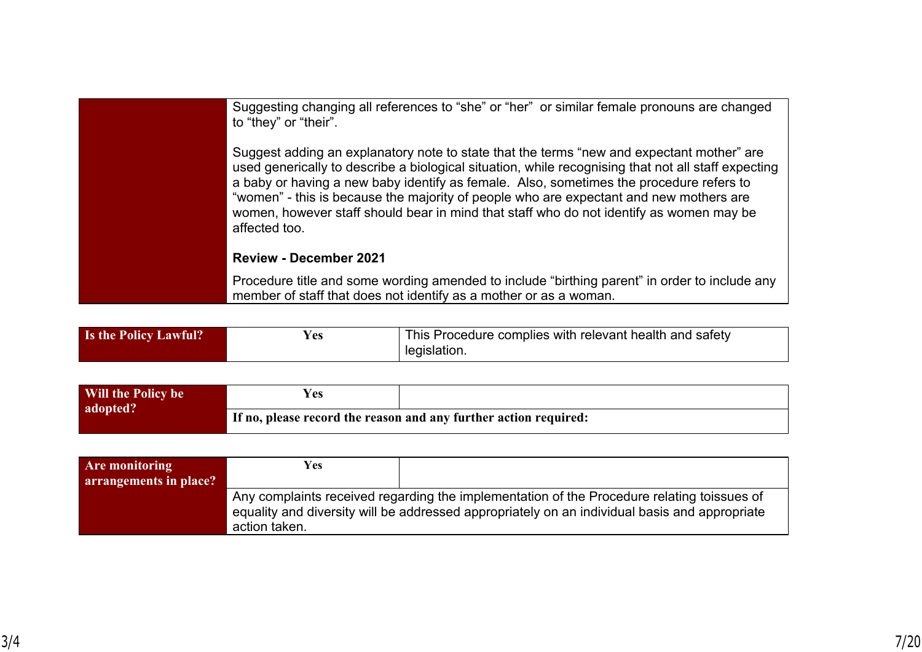| Suggesting changing all references to "she" or "her" or similar female pronouns are changed<br>to "they" or "their".                                                                                                                                                                                                                                                                                                                                                                              |
|---------------------------------------------------------------------------------------------------------------------------------------------------------------------------------------------------------------------------------------------------------------------------------------------------------------------------------------------------------------------------------------------------------------------------------------------------------------------------------------------------|
| Suggest adding an explanatory note to state that the terms "new and expectant mother" are<br>used generically to describe a biological situation, while recognising that not all staff expecting<br>a baby or having a new baby identify as female. Also, sometimes the procedure refers to<br>"women" - this is because the majority of people who are expectant and new mothers are<br>women, however staff should bear in mind that staff who do not identify as women may be<br>affected too. |
| <b>Review - December 2021</b>                                                                                                                                                                                                                                                                                                                                                                                                                                                                     |
| Procedure title and some wording amended to include "birthing parent" in order to include any<br>member of staff that does not identify as a mother or as a woman.                                                                                                                                                                                                                                                                                                                                |

| <b>Is the Policy Lawful?</b> | r es | This Procedure complies with relevant health and safety |
|------------------------------|------|---------------------------------------------------------|
|                              |      | legislation.                                            |

| Will the Policy be | $V_{\mathbf{c}\mathbf{s}}$ |                                                                  |
|--------------------|----------------------------|------------------------------------------------------------------|
| adopted?           |                            | If no, please record the reason and any further action required: |

| <b>Are monitoring</b><br>arrangements in place? | <b>Yes</b>    |                                                                                                                                                                                             |
|-------------------------------------------------|---------------|---------------------------------------------------------------------------------------------------------------------------------------------------------------------------------------------|
|                                                 | action taken. | Any complaints received regarding the implementation of the Procedure relating toissues of<br>equality and diversity will be addressed appropriately on an individual basis and appropriate |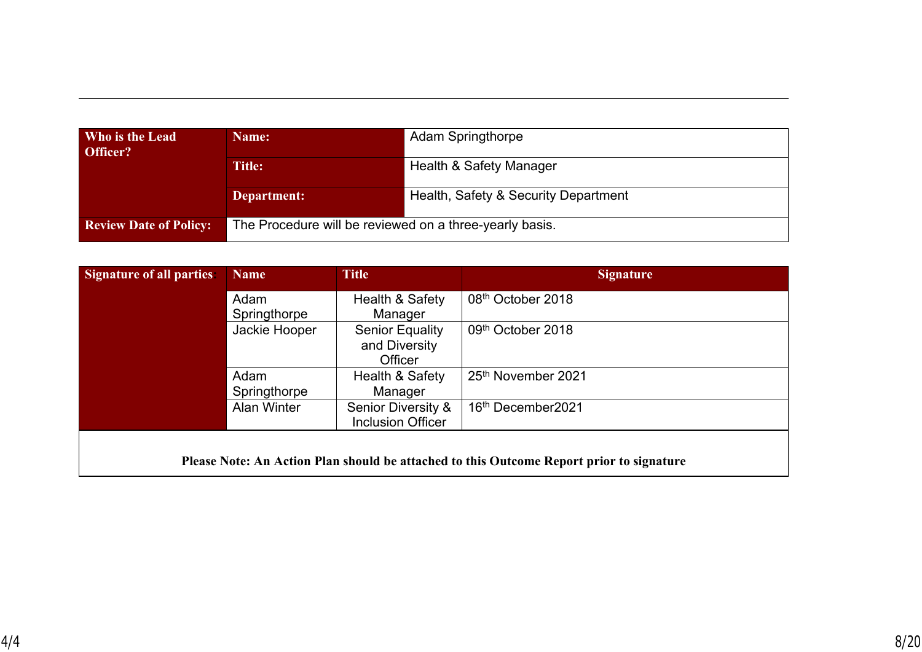| Who is the Lead<br>Officer?   | Name:                                                   | <b>Adam Springthorpe</b>             |  |
|-------------------------------|---------------------------------------------------------|--------------------------------------|--|
|                               | <b>Title:</b>                                           | Health & Safety Manager              |  |
|                               | Department:                                             | Health, Safety & Security Department |  |
| <b>Review Date of Policy:</b> | The Procedure will be reviewed on a three-yearly basis. |                                      |  |

| Signature of all parties: | <b>Name</b>        | <b>Title</b>             | Signature                      |
|---------------------------|--------------------|--------------------------|--------------------------------|
|                           | Adam               | Health & Safety          | 08 <sup>th</sup> October 2018  |
|                           | Springthorpe       | Manager                  |                                |
|                           | Jackie Hooper      | <b>Senior Equality</b>   | 09th October 2018              |
|                           |                    | and Diversity            |                                |
|                           |                    | <b>Officer</b>           |                                |
|                           | Adam               | Health & Safety          | 25 <sup>th</sup> November 2021 |
|                           | Springthorpe       | Manager                  |                                |
|                           | <b>Alan Winter</b> | Senior Diversity &       | 16th December2021              |
|                           |                    | <b>Inclusion Officer</b> |                                |
|                           |                    |                          |                                |

**Please Note: An Action Plan should be attached to this Outcome Report prior to signature**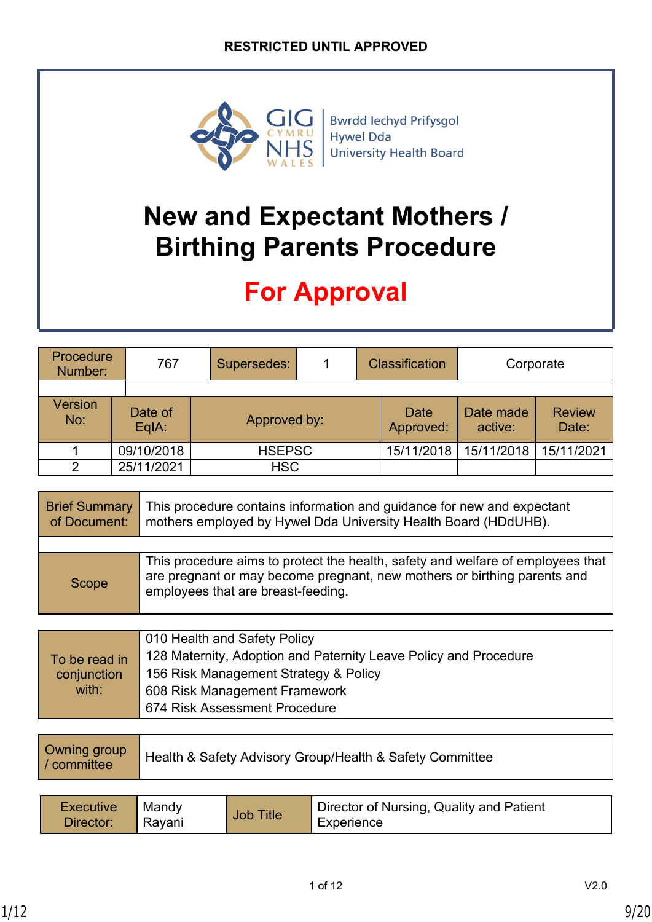

Bwrdd Iechyd Prifysgol Hywel Dda University Health Board

## **New and Expectant Mothers / Birthing Parents Procedure**

## **For Approval**

| Procedure<br>Number:  | 767                | Supersedes: |               |  | <b>Classification</b> | Corporate            |                        |
|-----------------------|--------------------|-------------|---------------|--|-----------------------|----------------------|------------------------|
|                       |                    |             |               |  |                       |                      |                        |
| <b>Version</b><br>No: | Date of<br>$EqA$ : |             | Approved by:  |  | Date<br>Approved:     | Date made<br>active: | <b>Review</b><br>Date: |
|                       | 09/10/2018         |             | <b>HSEPSC</b> |  | 15/11/2018            | 15/11/2018           | 15/11/2021             |
| っ                     | 25/11/2021         |             | <b>HSC</b>    |  |                       |                      |                        |

| <b>Brief Summary</b><br>of Document: | This procedure contains information and guidance for new and expectant<br>mothers employed by Hywel Dda University Health Board (HDdUHB).                                                         |
|--------------------------------------|---------------------------------------------------------------------------------------------------------------------------------------------------------------------------------------------------|
|                                      |                                                                                                                                                                                                   |
| Scope                                | This procedure aims to protect the health, safety and welfare of employees that<br>are pregnant or may become pregnant, new mothers or birthing parents and<br>employees that are breast-feeding. |

|               | 010 Health and Safety Policy                                     |
|---------------|------------------------------------------------------------------|
| To be read in | 128 Maternity, Adoption and Paternity Leave Policy and Procedure |
| conjunction   | 156 Risk Management Strategy & Policy                            |
| with:         | 608 Risk Management Framework                                    |
|               | 674 Risk Assessment Procedure                                    |

| Owning group<br>Health & Safety Advisory Group/Health & Safety Committee<br><i>l</i> / committee |
|--------------------------------------------------------------------------------------------------|
|--------------------------------------------------------------------------------------------------|

| <b>Executive</b> | $\blacksquare$ Mandy | <b>Job Title</b> | Director of Nursing, Quality and Patient |
|------------------|----------------------|------------------|------------------------------------------|
| Director:        | ' Rayani             |                  | Experience                               |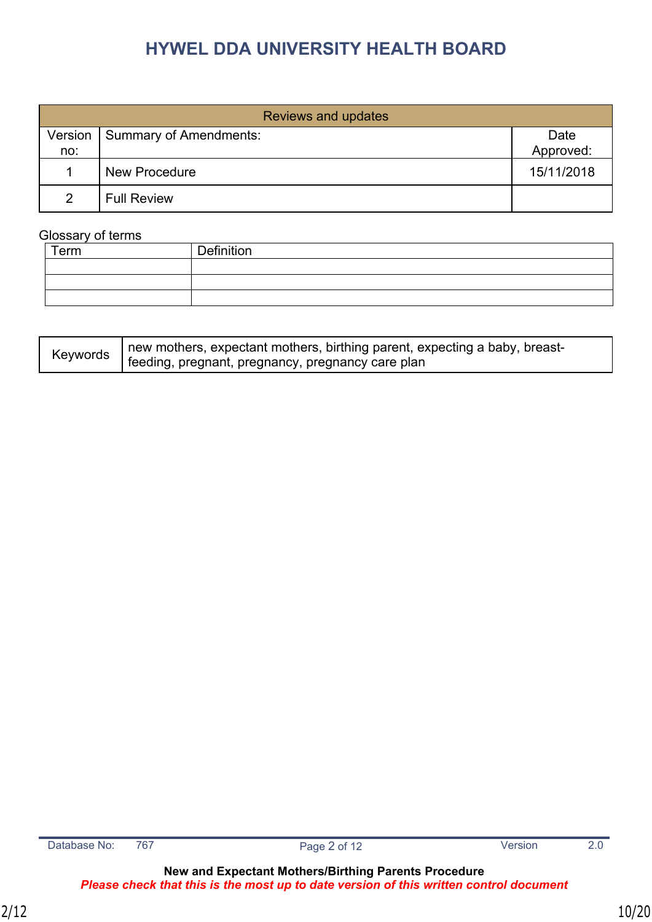|                | Reviews and updates    |                   |
|----------------|------------------------|-------------------|
| Version<br>no: | Summary of Amendments: | Date<br>Approved: |
|                | <b>New Procedure</b>   | 15/11/2018        |
| $\mathcal{P}$  | <b>Full Review</b>     |                   |

#### Glossary of terms

| Term | Definition |
|------|------------|
|      |            |
|      |            |
|      |            |

| Keywords | new mothers, expectant mothers, birthing parent, expecting a baby, breast- |
|----------|----------------------------------------------------------------------------|
|          | feeding, pregnant, pregnancy, pregnancy care plan                          |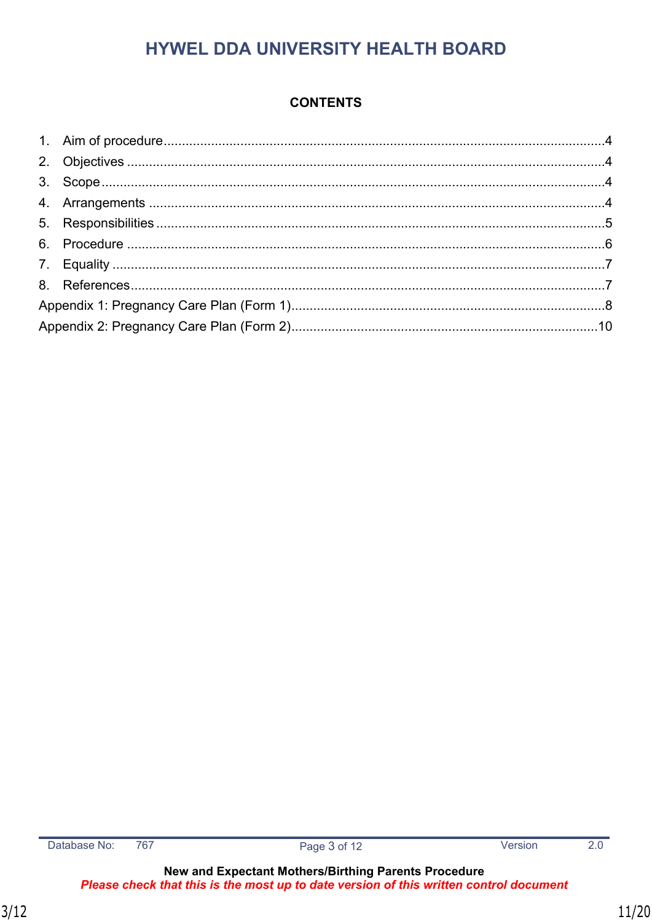#### **CONTENTS**

 $\overline{2.0}$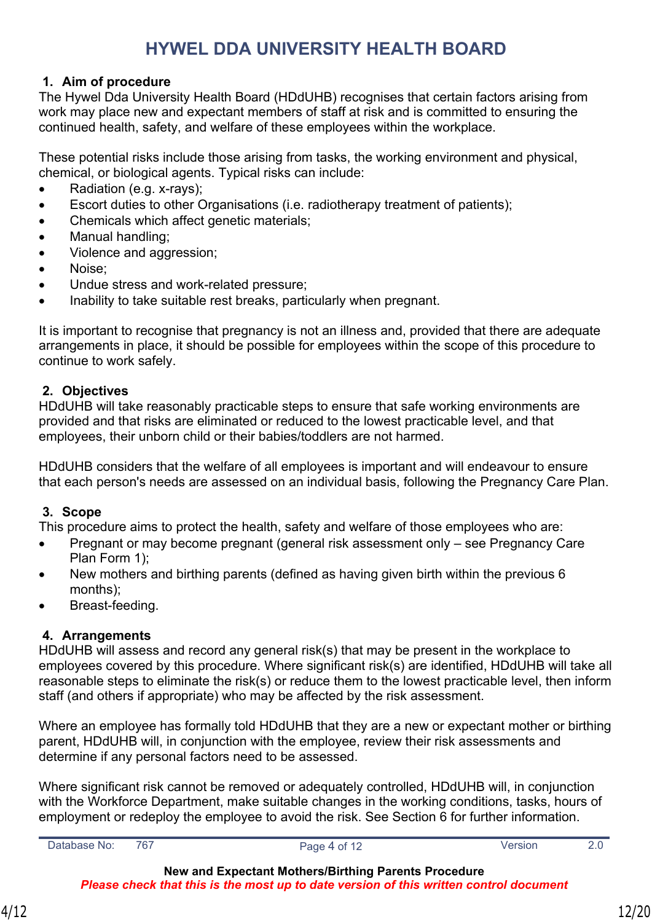#### <span id="page-11-0"></span>**1. Aim of procedure**

The Hywel Dda University Health Board (HDdUHB) recognises that certain factors arising from work may place new and expectant members of staff at risk and is committed to ensuring the continued health, safety, and welfare of these employees within the workplace.

These potential risks include those arising from tasks, the working environment and physical, chemical, or biological agents. Typical risks can include:

- Radiation (e.g. x-rays);
- Escort duties to other Organisations (i.e. radiotherapy treatment of patients);
- Chemicals which affect genetic materials;
- Manual handling;
- Violence and aggression;
- Noise;
- Undue stress and work-related pressure;
- Inability to take suitable rest breaks, particularly when pregnant.

It is important to recognise that pregnancy is not an illness and, provided that there are adequate arrangements in place, it should be possible for employees within the scope of this procedure to continue to work safely.

#### <span id="page-11-1"></span>**2. Objectives**

HDdUHB will take reasonably practicable steps to ensure that safe working environments are provided and that risks are eliminated or reduced to the lowest practicable level, and that employees, their unborn child or their babies/toddlers are not harmed.

HDdUHB considers that the welfare of all employees is important and will endeavour to ensure that each person's needs are assessed on an individual basis, following the Pregnancy Care Plan.

#### <span id="page-11-2"></span>**3. Scope**

This procedure aims to protect the health, safety and welfare of those employees who are:

- Pregnant or may become pregnant (general risk assessment only see Pregnancy Care Plan Form 1);
- New mothers and birthing parents (defined as having given birth within the previous 6 months);
- Breast-feeding.

#### <span id="page-11-3"></span>**4. Arrangements**

HDdUHB will assess and record any general risk(s) that may be present in the workplace to employees covered by this procedure. Where significant risk(s) are identified, HDdUHB will take all reasonable steps to eliminate the risk(s) or reduce them to the lowest practicable level, then inform staff (and others if appropriate) who may be affected by the risk assessment.

Where an employee has formally told HDdUHB that they are a new or expectant mother or birthing parent, HDdUHB will, in conjunction with the employee, review their risk assessments and determine if any personal factors need to be assessed.

Where significant risk cannot be removed or adequately controlled, HDdUHB will, in conjunction with the Workforce Department, make suitable changes in the working conditions, tasks, hours of employment or redeploy the employee to avoid the risk. See Section 6 for further information.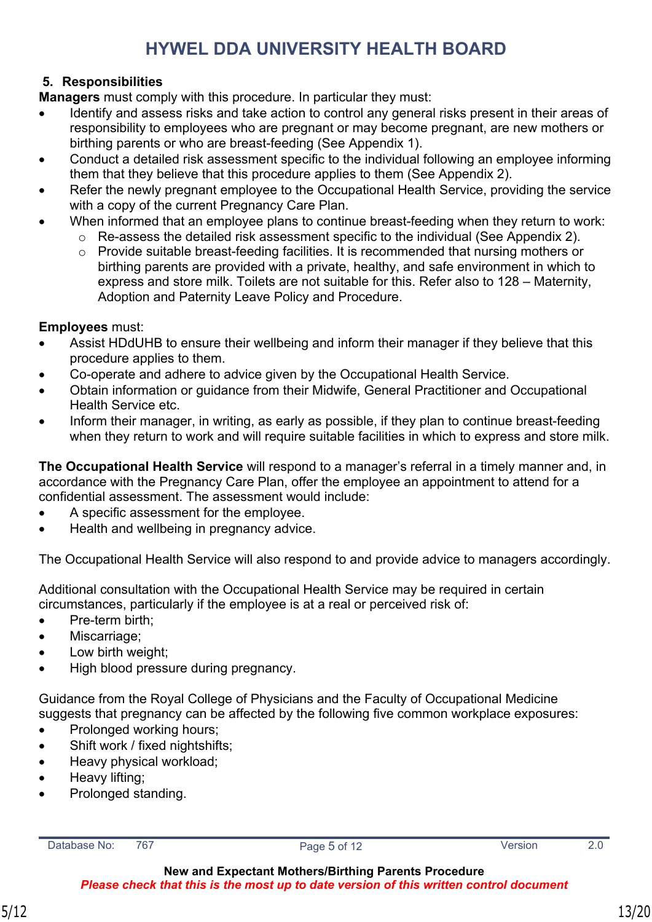#### <span id="page-12-0"></span>**5. Responsibilities**

**Managers** must comply with this procedure. In particular they must:

- Identify and assess risks and take action to control any general risks present in their areas of responsibility to employees who are pregnant or may become pregnant, are new mothers or birthing parents or who are breast-feeding (See Appendix 1).
- Conduct a detailed risk assessment specific to the individual following an employee informing them that they believe that this procedure applies to them (See Appendix 2).
- Refer the newly pregnant employee to the Occupational Health Service, providing the service with a copy of the current Pregnancy Care Plan.
- When informed that an employee plans to continue breast-feeding when they return to work:
	- o Re-assess the detailed risk assessment specific to the individual (See Appendix 2).
	- o Provide suitable breast-feeding facilities. It is recommended that nursing mothers or birthing parents are provided with a private, healthy, and safe environment in which to express and store milk. Toilets are not suitable for this. Refer also to 128 – Maternity, Adoption and Paternity Leave Policy and Procedure.

**Employees** must:

- Assist HDdUHB to ensure their wellbeing and inform their manager if they believe that this procedure applies to them.
- Co-operate and adhere to advice given by the Occupational Health Service.
- Obtain information or guidance from their Midwife, General Practitioner and Occupational Health Service etc.
- Inform their manager, in writing, as early as possible, if they plan to continue breast-feeding when they return to work and will require suitable facilities in which to express and store milk.

**The Occupational Health Service** will respond to a manager's referral in a timely manner and, in accordance with the Pregnancy Care Plan, offer the employee an appointment to attend for a confidential assessment. The assessment would include:

- A specific assessment for the employee.
- Health and wellbeing in pregnancy advice.

The Occupational Health Service will also respond to and provide advice to managers accordingly.

Additional consultation with the Occupational Health Service may be required in certain circumstances, particularly if the employee is at a real or perceived risk of:

- Pre-term birth;
- Miscarriage;
- Low birth weight;
- High blood pressure during pregnancy.

Guidance from the Royal College of Physicians and the Faculty of Occupational Medicine suggests that pregnancy can be affected by the following five common workplace exposures:

- Prolonged working hours;
- Shift work / fixed nightshifts;
- Heavy physical workload;
- Heavy lifting;
- Prolonged standing.

Database No: 767 Page 5 of 12 Version 2.0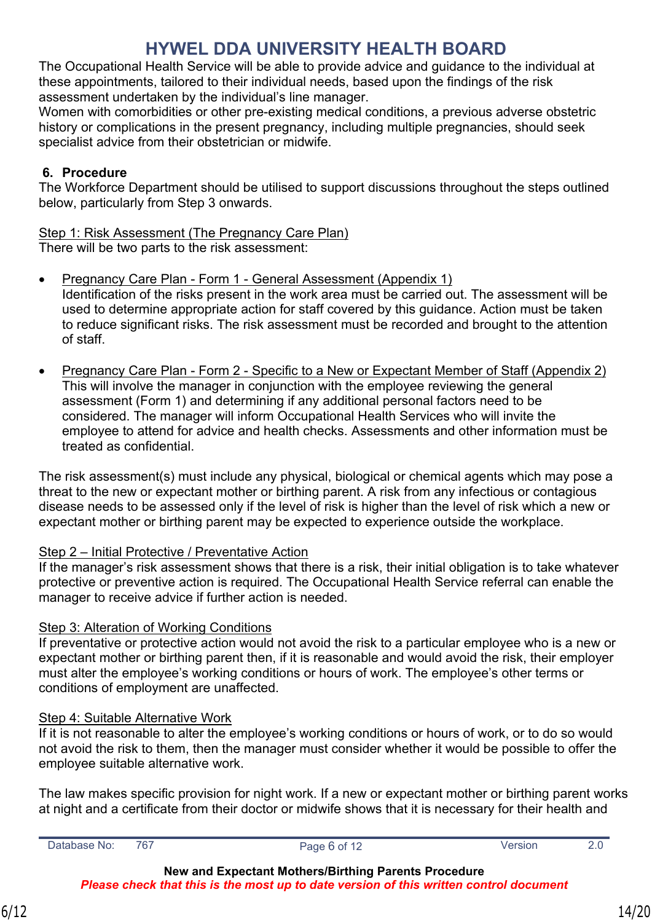The Occupational Health Service will be able to provide advice and guidance to the individual at these appointments, tailored to their individual needs, based upon the findings of the risk assessment undertaken by the individual's line manager.

Women with comorbidities or other pre-existing medical conditions, a previous adverse obstetric history or complications in the present pregnancy, including multiple pregnancies, should seek specialist advice from their obstetrician or midwife.

#### <span id="page-13-0"></span>**6. Procedure**

The Workforce Department should be utilised to support discussions throughout the steps outlined below, particularly from Step 3 onwards.

Step 1: Risk Assessment (The Pregnancy Care Plan) There will be two parts to the risk assessment:

- Pregnancy Care Plan Form 1 General Assessment (Appendix 1) Identification of the risks present in the work area must be carried out. The assessment will be used to determine appropriate action for staff covered by this guidance. Action must be taken to reduce significant risks. The risk assessment must be recorded and brought to the attention of staff.
- Pregnancy Care Plan Form 2 Specific to a New or Expectant Member of Staff (Appendix 2) This will involve the manager in conjunction with the employee reviewing the general assessment (Form 1) and determining if any additional personal factors need to be considered. The manager will inform Occupational Health Services who will invite the employee to attend for advice and health checks. Assessments and other information must be treated as confidential.

The risk assessment(s) must include any physical, biological or chemical agents which may pose a threat to the new or expectant mother or birthing parent. A risk from any infectious or contagious disease needs to be assessed only if the level of risk is higher than the level of risk which a new or expectant mother or birthing parent may be expected to experience outside the workplace.

#### Step 2 – Initial Protective / Preventative Action

If the manager's risk assessment shows that there is a risk, their initial obligation is to take whatever protective or preventive action is required. The Occupational Health Service referral can enable the manager to receive advice if further action is needed.

#### Step 3: Alteration of Working Conditions

If preventative or protective action would not avoid the risk to a particular employee who is a new or expectant mother or birthing parent then, if it is reasonable and would avoid the risk, their employer must alter the employee's working conditions or hours of work. The employee's other terms or conditions of employment are unaffected.

#### Step 4: Suitable Alternative Work

If it is not reasonable to alter the employee's working conditions or hours of work, or to do so would not avoid the risk to them, then the manager must consider whether it would be possible to offer the employee suitable alternative work.

The law makes specific provision for night work. If a new or expectant mother or birthing parent works at night and a certificate from their doctor or midwife shows that it is necessary for their health and

Database No: 767 **Page 6 of 12** Page 6 of 12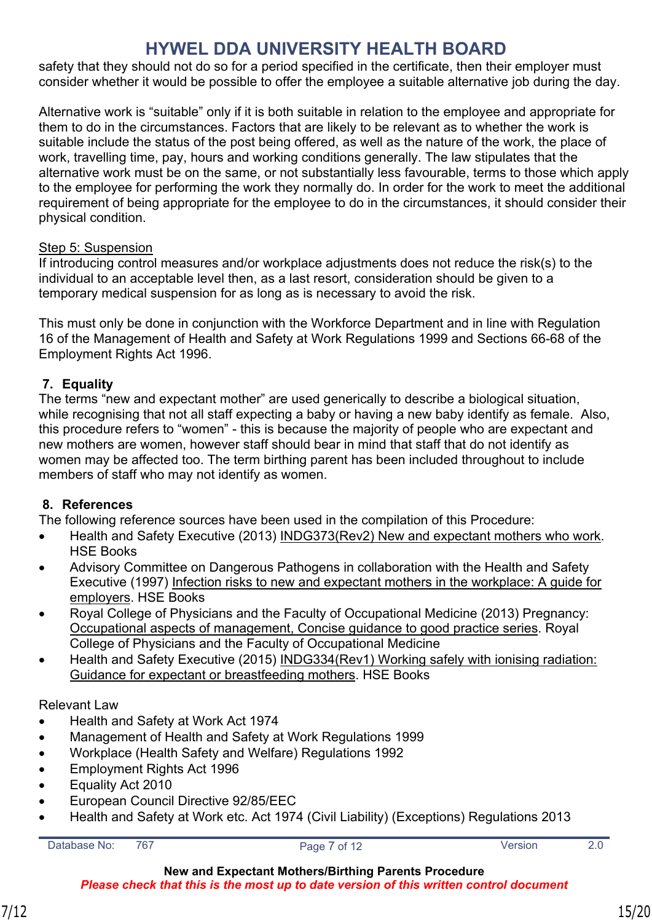safety that they should not do so for a period specified in the certificate, then their employer must consider whether it would be possible to offer the employee a suitable alternative job during the day.

Alternative work is "suitable" only if it is both suitable in relation to the employee and appropriate for them to do in the circumstances. Factors that are likely to be relevant as to whether the work is suitable include the status of the post being offered, as well as the nature of the work, the place of work, travelling time, pay, hours and working conditions generally. The law stipulates that the alternative work must be on the same, or not substantially less favourable, terms to those which apply to the employee for performing the work they normally do. In order for the work to meet the additional requirement of being appropriate for the employee to do in the circumstances, it should consider their physical condition.

#### Step 5: Suspension

If introducing control measures and/or workplace adjustments does not reduce the risk(s) to the individual to an acceptable level then, as a last resort, consideration should be given to a temporary medical suspension for as long as is necessary to avoid the risk.

This must only be done in conjunction with the Workforce Department and in line with Regulation 16 of the Management of Health and Safety at Work Regulations 1999 and Sections 66-68 of the Employment Rights Act 1996.

#### <span id="page-14-0"></span>**7. Equality**

The terms "new and expectant mother" are used generically to describe a biological situation, while recognising that not all staff expecting a baby or having a new baby identify as female. Also, this procedure refers to "women" - this is because the majority of people who are expectant and new mothers are women, however staff should bear in mind that staff that do not identify as women may be affected too. The term birthing parent has been included throughout to include members of staff who may not identify as women.

#### <span id="page-14-1"></span>**8. References**

The following reference sources have been used in the compilation of this Procedure:

- Health and Safety Executive (2013) INDG373(Rev2) New and expectant mothers who work. HSE Books
- Advisory Committee on Dangerous Pathogens in collaboration with the Health and Safety Executive (1997) Infection risks to new and expectant mothers in the workplace: A guide for employers. HSE Books
- Royal College of Physicians and the Faculty of Occupational Medicine (2013) Pregnancy: Occupational aspects of management, Concise guidance to good practice series. Royal College of Physicians and the Faculty of Occupational Medicine
- Health and Safety Executive (2015) INDG334(Rev1) Working safely with ionising radiation: Guidance for expectant or breastfeeding mothers. HSE Books

#### Relevant Law

- Health and Safety at Work Act 1974
- Management of Health and Safety at Work Regulations 1999
- Workplace (Health Safety and Welfare) Regulations 1992
- Employment Rights Act 1996
- Equality Act 2010
- European Council Directive 92/85/EEC
- Health and Safety at Work etc. Act 1974 (Civil Liability) (Exceptions) Regulations 2013

```
Database No: 767 Page 7 of 12 Version 2.0
```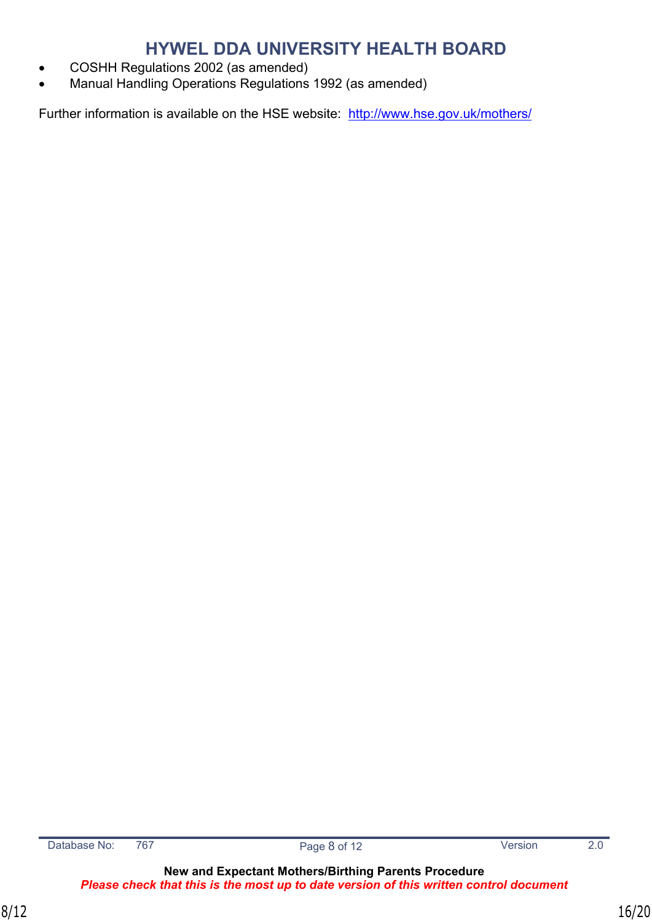- COSHH Regulations 2002 (as amended)
- Manual Handling Operations Regulations 1992 (as amended)

Further information is available on the HSE website: <http://www.hse.gov.uk/mothers/>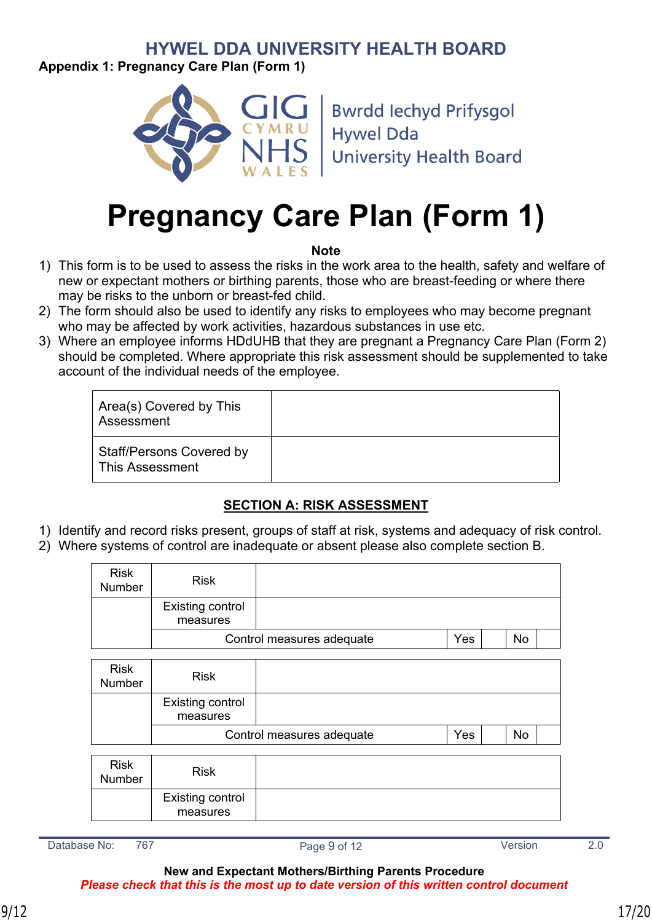<span id="page-16-0"></span>**Appendix 1: Pregnancy Care Plan (Form 1)**



**Bwrdd lechyd Prifysgol Hywel Dda University Health Board** 

# **Pregnancy Care Plan (Form 1)**

#### **Note**

- 1) This form is to be used to assess the risks in the work area to the health, safety and welfare of new or expectant mothers or birthing parents, those who are breast-feeding or where there may be risks to the unborn or breast-fed child.
- 2) The form should also be used to identify any risks to employees who may become pregnant who may be affected by work activities, hazardous substances in use etc.
- 3) Where an employee informs HDdUHB that they are pregnant a Pregnancy Care Plan (Form 2) should be completed. Where appropriate this risk assessment should be supplemented to take account of the individual needs of the employee.

| Area(s) Covered by This<br>Assessment              |  |
|----------------------------------------------------|--|
| <b>Staff/Persons Covered by</b><br>This Assessment |  |

#### **SECTION A: RISK ASSESSMENT**

- 1) Identify and record risks present, groups of staff at risk, systems and adequacy of risk control.
- 2) Where systems of control are inadequate or absent please also complete section B.

| <b>Risk</b><br>Number        | <b>Risk</b>                         |                           |     |    |
|------------------------------|-------------------------------------|---------------------------|-----|----|
|                              | <b>Existing control</b><br>measures |                           |     |    |
|                              |                                     | Control measures adequate | Yes | No |
| <b>Risk</b><br><b>Number</b> | <b>Risk</b>                         |                           |     |    |
|                              | <b>Existing control</b><br>measures |                           |     |    |
|                              |                                     | Control measures adequate | Yes | No |
| <b>Risk</b><br>Number        | <b>Risk</b>                         |                           |     |    |
|                              | <b>Existing control</b><br>measures |                           |     |    |

Database No: 767 Channel Page 9 of 12 Channel Version 2.0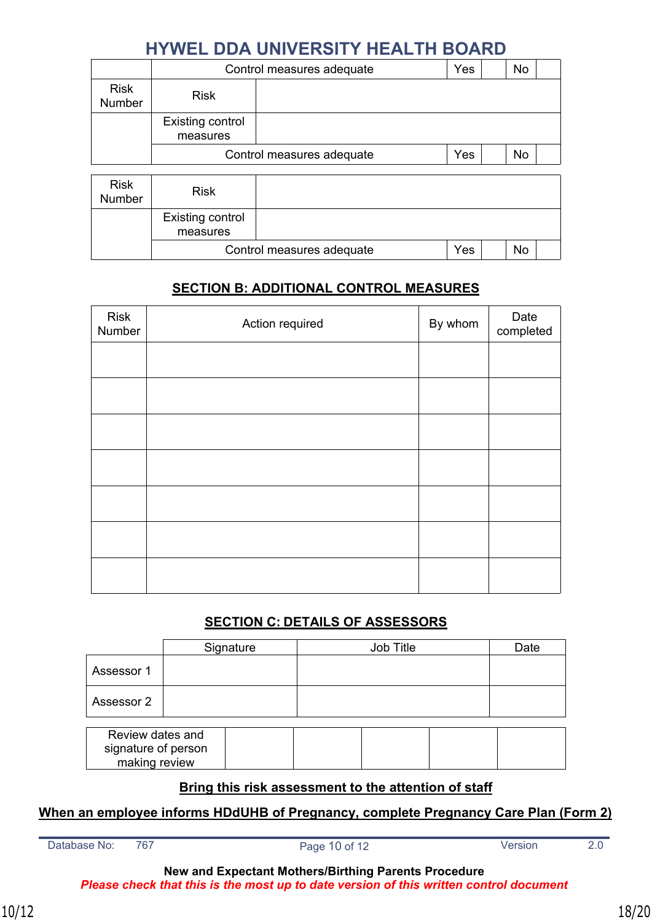|                              | Control measures adequate    | Yes |  | No |    |  |
|------------------------------|------------------------------|-----|--|----|----|--|
| <b>Risk</b><br>Number        | <b>Risk</b>                  |     |  |    |    |  |
|                              | Existing control<br>measures |     |  |    |    |  |
|                              | Control measures adequate    |     |  |    | No |  |
| <b>Risk</b><br><b>Number</b> | <b>Risk</b>                  |     |  |    |    |  |
|                              | Existing control<br>measures |     |  |    |    |  |
|                              | Control measures adequate    |     |  |    | No |  |

#### **SECTION B: ADDITIONAL CONTROL MEASURES**

| Risk<br>Number | Action required | By whom | Date<br>completed |
|----------------|-----------------|---------|-------------------|
|                |                 |         |                   |
|                |                 |         |                   |
|                |                 |         |                   |
|                |                 |         |                   |
|                |                 |         |                   |
|                |                 |         |                   |
|                |                 |         |                   |

#### **SECTION C: DETAILS OF ASSESSORS**

|                                      | Signature        | Job Title |  | Date |  |  |
|--------------------------------------|------------------|-----------|--|------|--|--|
| Assessor 1                           |                  |           |  |      |  |  |
| Assessor 2                           |                  |           |  |      |  |  |
|                                      | Review dates and |           |  |      |  |  |
| signature of person<br>making review |                  |           |  |      |  |  |

#### **Bring this risk assessment to the attention of staff**

#### **When an employee informs HDdUHB of Pregnancy, complete Pregnancy Care Plan (Form 2)**

Database No: 767 Page 10 of 12 Version 2.0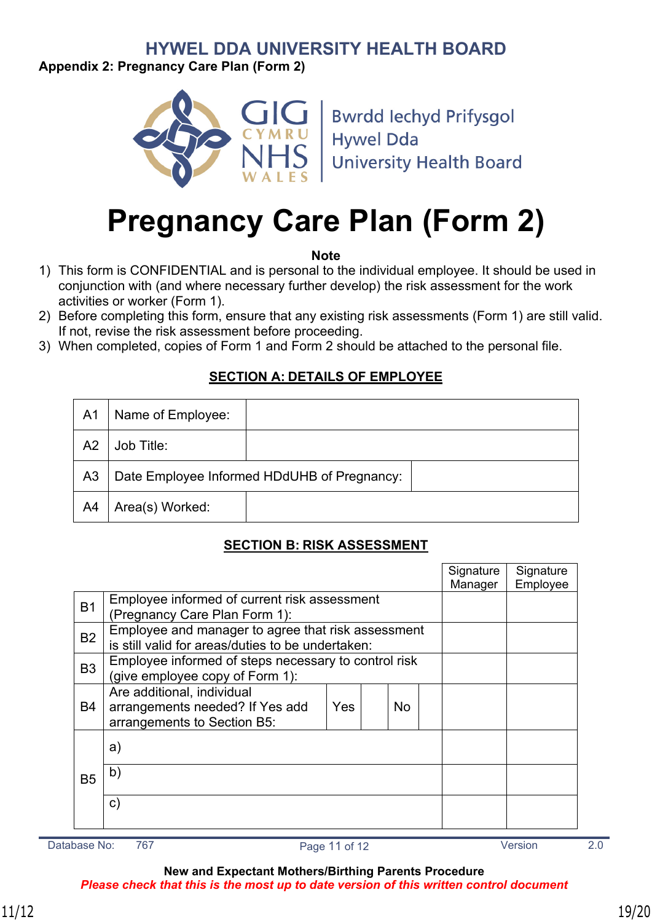<span id="page-18-0"></span>**Appendix 2: Pregnancy Care Plan (Form 2)**



**Bwrdd lechyd Prifysgol Hywel Dda University Health Board** 

# **Pregnancy Care Plan (Form 2)**

**Note**

- 1) This form is CONFIDENTIAL and is personal to the individual employee. It should be used in conjunction with (and where necessary further develop) the risk assessment for the work activities or worker (Form 1).
- 2) Before completing this form, ensure that any existing risk assessments (Form 1) are still valid. If not, revise the risk assessment before proceeding.
- 3) When completed, copies of Form 1 and Form 2 should be attached to the personal file.

#### **SECTION A: DETAILS OF EMPLOYEE**

| A <sub>1</sub> | Name of Employee: |                                             |  |
|----------------|-------------------|---------------------------------------------|--|
| A <sub>2</sub> | Job Title:        |                                             |  |
| A <sub>3</sub> |                   | Date Employee Informed HDdUHB of Pregnancy: |  |
| A4             | Area(s) Worked:   |                                             |  |

#### **SECTION B: RISK ASSESSMENT**

|                |                                                                                                         |     |  |           |  | Signature<br>Manager | Signature<br>Employee |
|----------------|---------------------------------------------------------------------------------------------------------|-----|--|-----------|--|----------------------|-----------------------|
| <b>B1</b>      | Employee informed of current risk assessment<br>(Pregnancy Care Plan Form 1):                           |     |  |           |  |                      |                       |
| B <sub>2</sub> | Employee and manager to agree that risk assessment<br>is still valid for areas/duties to be undertaken: |     |  |           |  |                      |                       |
| B <sub>3</sub> | Employee informed of steps necessary to control risk<br>(give employee copy of Form 1):                 |     |  |           |  |                      |                       |
| <b>B4</b>      | Are additional, individual<br>arrangements needed? If Yes add<br>arrangements to Section B5:            | Yes |  | <b>No</b> |  |                      |                       |
|                | a)                                                                                                      |     |  |           |  |                      |                       |
| <b>B5</b>      | b)                                                                                                      |     |  |           |  |                      |                       |
|                | $\mathsf{c})$                                                                                           |     |  |           |  |                      |                       |

Database No: 767 Page 11 of 12 Version 2.0